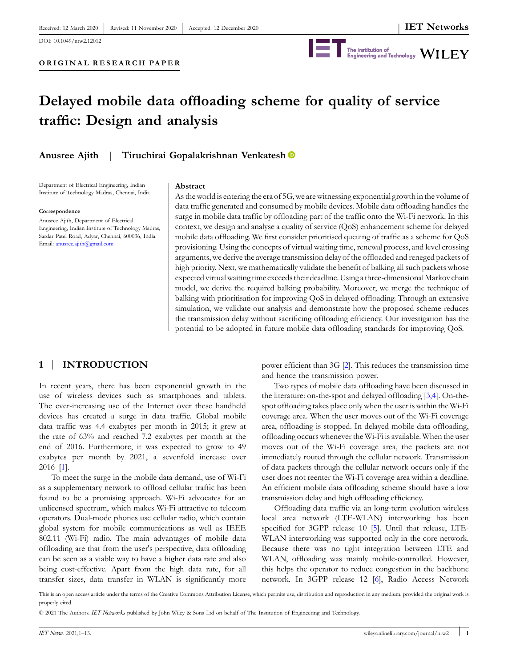DOI: 10.1049/ntw2.12012



# **Delayed mobile data offloading scheme for quality of service traffic: Design and analysis**

**Anusree Ajith** | **Tiruchirai Gopalakrishnan Venkatesh**

Department of Electrical Engineering, Indian Institute of Technology Madras, Chennai, India

#### **Correspondence**

Anusree Ajith, Department of Electrical Engineering, Indian Institute of Technology Madras, Sardar Patel Road, Adyar, Chennai, 600036, India. Email: anusree.ajith@gmail.com

#### **Abstract**

As the world is entering the era of 5G, we are witnessing exponential growth in the volume of data traffic generated and consumed by mobile devices. Mobile data offloading handles the surge in mobile data traffic by offloading part of the traffic onto the Wi-Fi network. In this context, we design and analyse a quality of service (QoS) enhancement scheme for delayed mobile data offloading. We first consider prioritised queuing of traffic as a scheme for QoS provisioning. Using the concepts of virtual waiting time, renewal process, and level crossing arguments, we derive the average transmission delay of the offloaded and reneged packets of high priority. Next, we mathematically validate the benefit of balking all such packets whose expected virtual waiting time exceeds their deadline. Using a three-dimensional Markov chain model, we derive the required balking probability. Moreover, we merge the technique of balking with prioritisation for improving QoS in delayed offloading. Through an extensive simulation, we validate our analysis and demonstrate how the proposed scheme reduces the transmission delay without sacrificing offloading efficiency. Our investigation has the potential to be adopted in future mobile data offloading standards for improving QoS.

## **1** | **INTRODUCTION**

In recent years, there has been exponential growth in the use of wireless devices such as smartphones and tablets. The ever-increasing use of the Internet over these handheld devices has created a surge in data traffic. Global mobile data traffic was 4.4 exabytes per month in 2015; it grew at the rate of 63% and reached 7.2 exabytes per month at the end of 2016. Furthermore, it was expected to grow to 49 exabytes per month by 2021, a sevenfold increase over 2016 [1].

To meet the surge in the mobile data demand, use of Wi-Fi as a supplementary network to offload cellular traffic has been found to be a promising approach. Wi-Fi advocates for an unlicensed spectrum, which makes Wi-Fi attractive to telecom operators. Dual-mode phones use cellular radio, which contain global system for mobile communications as well as IEEE 802.11 (Wi-Fi) radio. The main advantages of mobile data offloading are that from the user's perspective, data offloading can be seen as a viable way to have a higher data rate and also being cost-effective. Apart from the high data rate, for all transfer sizes, data transfer in WLAN is significantly more

power efficient than 3G [2]. This reduces the transmission time and hence the transmission power.

Two types of mobile data offloading have been discussed in the literature: on-the-spot and delayed offloading [3,4]. On-thespot offloading takes place only when the user is within the Wi-Fi coverage area. When the user moves out of the Wi-Fi coverage area, offloading is stopped. In delayed mobile data offloading, offloading occurs whenever the Wi-Fi is available. When the user moves out of the Wi-Fi coverage area, the packets are not immediately routed through the cellular network. Transmission of data packets through the cellular network occurs only if the user does not reenter the Wi-Fi coverage area within a deadline. An efficient mobile data offloading scheme should have a low transmission delay and high offloading efficiency.

Offloading data traffic via an long-term evolution wireless local area network (LTE-WLAN) interworking has been specified for 3GPP release 10 [5]. Until that release, LTE-WLAN interworking was supported only in the core network. Because there was no tight integration between LTE and WLAN, offloading was mainly mobile-controlled. However, this helps the operator to reduce congestion in the backbone network. In 3GPP release 12 [6], Radio Access Network

This is an open access article under the terms of the Creative Commons Attribution License, which permits use, distribution and reproduction in any medium, provided the original work is properly cited.

© 2021 The Authors. *IET Networks* published by John Wiley & Sons Ltd on behalf of The Institution of Engineering and Technology.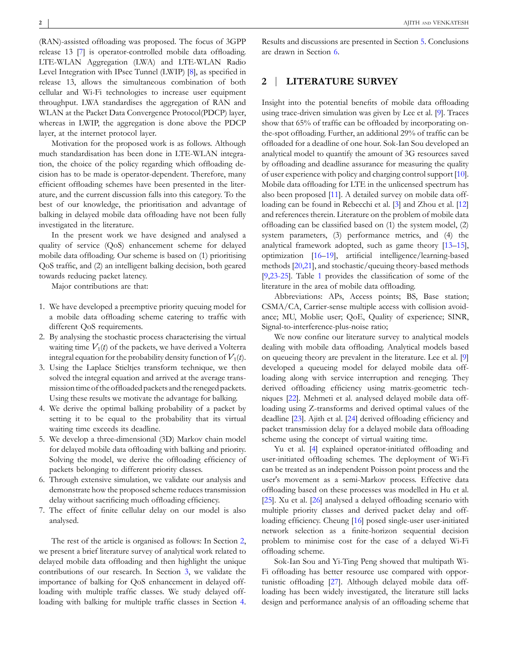(RAN)-assisted offloading was proposed. The focus of 3GPP release 13 [7] is operator-controlled mobile data offloading. LTE-WLAN Aggregation (LWA) and LTE-WLAN Radio Level Integration with IPsec Tunnel (LWIP) [8], as specified in release 13, allows the simultaneous combination of both cellular and Wi-Fi technologies to increase user equipment throughput. LWA standardises the aggregation of RAN and WLAN at the Packet Data Convergence Protocol(PDCP) layer, whereas in LWIP, the aggregation is done above the PDCP layer, at the internet protocol layer.

Motivation for the proposed work is as follows. Although much standardisation has been done in LTE-WLAN integration, the choice of the policy regarding which offloading decision has to be made is operator-dependent. Therefore, many efficient offloading schemes have been presented in the literature, and the current discussion falls into this category. To the best of our knowledge, the prioritisation and advantage of balking in delayed mobile data offloading have not been fully investigated in the literature.

In the present work we have designed and analysed a quality of service (QoS) enhancement scheme for delayed mobile data offloading. Our scheme is based on (1) prioritising QoS traffic, and (2) an intelligent balking decision, both geared towards reducing packet latency.

Major contributions are that:

- 1. We have developed a preemptive priority queuing model for a mobile data offloading scheme catering to traffic with different QoS requirements.
- 2. By analysing the stochastic process characterising the virtual waiting time  $V_1(t)$  of the packets, we have derived a Volterra integral equation for the probability density function of  $V_1(t)$ .
- 3. Using the Laplace Stieltjes transform technique, we then solved the integral equation and arrived at the average transmission time of the offloaded packets and the reneged packets. Using these results we motivate the advantage for balking.
- 4. We derive the optimal balking probability of a packet by setting it to be equal to the probability that its virtual waiting time exceeds its deadline.
- 5. We develop a three-dimensional (3D) Markov chain model for delayed mobile data offloading with balking and priority. Solving the model, we derive the offloading efficiency of packets belonging to different priority classes.
- 6. Through extensive simulation, we validate our analysis and demonstrate how the proposed scheme reduces transmission delay without sacrificing much offloading efficiency.
- 7. The effect of finite cellular delay on our model is also analysed.

The rest of the article is organised as follows: In Section 2, we present a brief literature survey of analytical work related to delayed mobile data offloading and then highlight the unique contributions of our research. In Section 3, we validate the importance of balking for QoS enhancement in delayed offloading with multiple traffic classes. We study delayed offloading with balking for multiple traffic classes in Section 4.

Results and discussions are presented in Section 5. Conclusions are drawn in Section 6.

# **2** | **LITERATURE SURVEY**

Insight into the potential benefits of mobile data offloading using trace-driven simulation was given by Lee et al. [9]. Traces show that 65% of traffic can be offloaded by incorporating onthe-spot offloading. Further, an additional 29% of traffic can be offloaded for a deadline of one hour. Sok-Ian Sou developed an analytical model to quantify the amount of 3G resources saved by offloading and deadline assurance for measuring the quality of user experience with policy and charging control support [10]. Mobile data offloading for LTE in the unlicensed spectrum has also been proposed [11]. A detailed survey on mobile data offloading can be found in Rebecchi et al. [3] and Zhou et al. [12] and references therein. Literature on the problem of mobile data offloading can be classified based on (1) the system model, (2) system parameters, (3) performance metrics, and (4) the analytical framework adopted, such as game theory [13–15], optimization [16–19], artificial intelligence/learning-based methods [20,21], and stochastic/queuing theory-based methods [9,23-25]. Table 1 provides the classification of some of the literature in the area of mobile data offloading.

Abbreviations: APs, Access points; BS, Base station; CSMA/CA, Carrier-sense multiple access with collision avoidance; MU, Moblie user; QoE, Quality of experience; SINR, Signal-to-interference-plus-noise ratio;

We now confine our literature survey to analytical models dealing with mobile data offloading. Analytical models based on queueing theory are prevalent in the literature. Lee et al. [9] developed a queueing model for delayed mobile data offloading along with service interruption and reneging. They derived offloading efficiency using matrix-geometric techniques [22]. Mehmeti et al. analysed delayed mobile data offloading using Z-transforms and derived optimal values of the deadline [23]. Ajith et al. [24] derived offloading efficiency and packet transmission delay for a delayed mobile data offloading scheme using the concept of virtual waiting time.

Yu et al. [4] explained operator-initiated offloading and user-initiated offloading schemes. The deployment of Wi-Fi can be treated as an independent Poisson point process and the user's movement as a semi-Markov process. Effective data offloading based on these processes was modelled in Hu et al. [25]. Xu et al. [26] analysed a delayed offloading scenario with multiple priority classes and derived packet delay and offloading efficiency. Cheung [16] posed single-user user-initiated network selection as a finite-horizon sequential decision problem to minimise cost for the case of a delayed Wi-Fi offloading scheme.

Sok-Ian Sou and Yi-Ting Peng showed that multipath Wi-Fi offloading has better resource use compared with opportunistic offloading [27]. Although delayed mobile data offloading has been widely investigated, the literature still lacks design and performance analysis of an offloading scheme that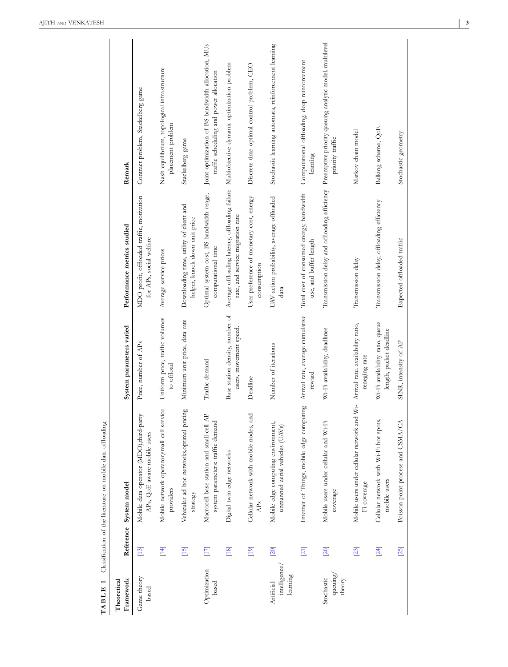| I<br>TABLE                              |           | Classification of the literature on mobile data offloading                                   |                                                            |                                                                          |                                                                                                                         |
|-----------------------------------------|-----------|----------------------------------------------------------------------------------------------|------------------------------------------------------------|--------------------------------------------------------------------------|-------------------------------------------------------------------------------------------------------------------------|
| Framework<br>Theoretical                | Reference | System model                                                                                 | System parameters varied                                   | Performance metrics studied                                              | Remark                                                                                                                  |
| Game theory<br>based                    | [13]      | Mobile data operator (MDO), third-party<br>APs, QoE aware mobile users                       | Price, number of APs                                       | MDO profit, offloaded traffic, motivation<br>for APs, social welfare     | Contract problem, Stackelberg game                                                                                      |
|                                         | [14]      | Mobile network operator, small cell service<br>providers                                     | Uniform price, traffic volumes<br>to offload               | Average service prices                                                   | Nash equilibrium, topological infrastructure<br>placement problem                                                       |
|                                         | [15]      | Vehicular ad hoc networks, optimal pricing<br>strategy                                       | Minimum unit price, data rate                              | Downloading time, utility of client and<br>helper, knock down unit price | Stackelberg game                                                                                                        |
| Optimization<br>based                   | $[17]$    | Macrocell base station and small-cell AP<br>system parameters: traffic demand                | Traffic demand                                             | Optimal system cost, BS bandwidth usage,<br>computational time           | Joint optimization of BS bandwidth allocation, MUs<br>traffic scheduling and power allocation                           |
|                                         | [18]      | Digital twin edge networks                                                                   | Base station density, number of<br>users, movement speed.  | rate, and service migration rate                                         | Average offloading latency, offloading failure Multiobjective dynamic optimization problem                              |
|                                         | $[19]$    | Cellular network with mobile nodes, and<br>AP <sub>s</sub>                                   | Deadline                                                   | User preference of monetary cost, energy<br>consumption                  | Discrete time optimal control problem, CEO                                                                              |
| intelligence,<br>learning<br>Artificial | 20        | Mobile edge computing environment,<br>unmanned aerial vehicles (UAVs)                        | Number of iterations                                       | UAV action probability, average offloaded<br>data                        | Stochastic learning automata, reinforcement learning                                                                    |
|                                         | 21        | Internet of Things, mobile edge computing Arrival rate, average cumulative                   | reward                                                     | Total cost of consumed energy, bandwidth<br>use, and buffer length       | Computational offloading, deep reinforcement<br>learning                                                                |
| queuing,<br>Stochastic<br>theory        | 26        | Mobile users under cellular and Wi-Fi<br>coverage                                            | Wi-Fi availability, deadlines                              |                                                                          | Transmission delay and offloading efficiency Preemptive priority queuing analytic model, multilevel<br>priority traffic |
|                                         | [23]      | Mobile users under cellular network and Wi- Arrival rate. availability ratio,<br>Fi coverage | reneging rate                                              | Transmission delay                                                       | Markov chain model                                                                                                      |
|                                         | 24        | Cellular network with Wi-Fi hot spots,<br>mobile users                                       | Wi-Fi availability ratio, queue<br>length, packet deadline | Transmission delay, offloading efficiency                                | Balking scheme, QoE                                                                                                     |
|                                         | 25        | Poisson point process and CSMA/CA                                                            | SINR, intensity of AP                                      | Expected offloaded traffic                                               | Stochastic geometry                                                                                                     |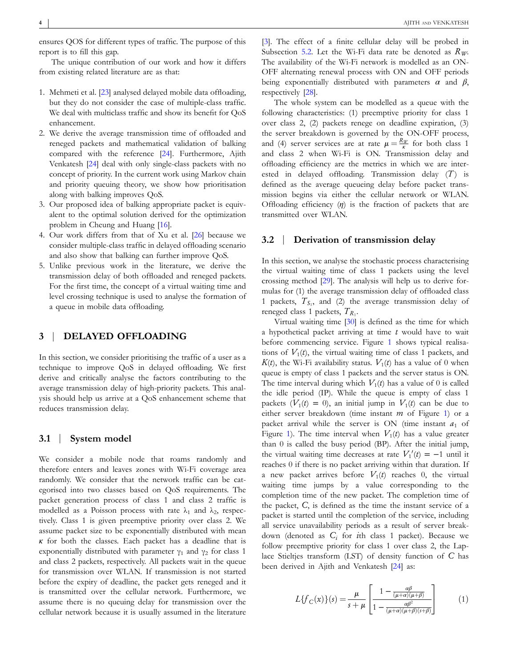ensures QOS for different types of traffic. The purpose of this report is to fill this gap.

The unique contribution of our work and how it differs from existing related literature are as that:

- 1. Mehmeti et al. [23] analysed delayed mobile data offloading, but they do not consider the case of multiple-class traffic. We deal with multiclass traffic and show its benefit for QoS enhancement.
- 2. We derive the average transmission time of offloaded and reneged packets and mathematical validation of balking compared with the reference [24]. Furthermore, Ajith Venkatesh [24] deal with only single-class packets with no concept of priority. In the current work using Markov chain and priority queuing theory, we show how prioritisation along with balking improves QoS.
- 3. Our proposed idea of balking appropriate packet is equivalent to the optimal solution derived for the optimization problem in Cheung and Huang [16].
- 4. Our work differs from that of Xu et al. [26] because we consider multiple-class traffic in delayed offloading scenario and also show that balking can further improve QoS.
- 5. Unlike previous work in the literature, we derive the transmission delay of both offloaded and reneged packets. For the first time, the concept of a virtual waiting time and level crossing technique is used to analyse the formation of a queue in mobile data offloading.

#### **3** | **DELAYED OFFLOADING**

In this section, we consider prioritising the traffic of a user as a technique to improve QoS in delayed offloading. We first derive and critically analyse the factors contributing to the average transmission delay of high-priority packets. This analysis should help us arrive at a QoS enhancement scheme that reduces transmission delay.

#### **3.1** | **System model**

We consider a mobile node that roams randomly and therefore enters and leaves zones with Wi-Fi coverage area randomly. We consider that the network traffic can be categorised into two classes based on QoS requirements. The packet generation process of class 1 and class 2 traffic is modelled as a Poisson process with rate  $\lambda_1$  and  $\lambda_2$ , respectively. Class 1 is given preemptive priority over class 2. We assume packet size to be exponentially distributed with mean *κ* for both the classes. Each packet has a deadline that is exponentially distributed with parameter  $\gamma_1$  and  $\gamma_2$  for class 1 and class 2 packets, respectively. All packets wait in the queue for transmission over WLAN. If transmission is not started before the expiry of deadline, the packet gets reneged and it is transmitted over the cellular network. Furthermore, we assume there is no queuing delay for transmission over the cellular network because it is usually assumed in the literature

[3]. The effect of a finite cellular delay will be probed in Subsection 5.2. Let the Wi-Fi data rate be denoted as  $R_W$ . The availability of the Wi-Fi network is modelled as an ON-OFF alternating renewal process with ON and OFF periods being exponentially distributed with parameters  $\alpha$  and  $\beta$ , respectively [28].

The whole system can be modelled as a queue with the following characteristics: (1) preemptive priority for class 1 over class 2, (2) packets renege on deadline expiration, (3) the server breakdown is governed by the ON-OFF process, and (4) server services are at rate  $\mu = \frac{R_W}{\kappa}$  for both class 1 and class 2 when Wi-Fi is ON. Transmission delay and offloading efficiency are the metrics in which we are interested in delayed offloading. Transmission delay (*T*) is defined as the average queueing delay before packet transmission begins via either the cellular network or WLAN. Offloading efficiency (*η*) is the fraction of packets that are transmitted over WLAN.

# **3.2** | **Derivation of transmission delay**

In this section, we analyse the stochastic process characterising the virtual waiting time of class 1 packets using the level crossing method [29]. The analysis will help us to derive formulas for (1) the average transmission delay of offloaded class 1 packets,  $T_{S_1}$ , and (2) the average transmission delay of reneged class 1 packets,  $T_{R_1}$ .

Virtual waiting time [30] is defined as the time for which a hypothetical packet arriving at time *t* would have to wait before commencing service. Figure 1 shows typical realisations of  $V_1(t)$ , the virtual waiting time of class 1 packets, and  $K(t)$ , the Wi-Fi availability status.  $V_1(t)$  has a value of 0 when queue is empty of class 1 packets and the server status is ON. The time interval during which  $V_1(t)$  has a value of 0 is called the idle period (IP). While the queue is empty of class 1 packets  $(V_1(t) = 0)$ , an initial jump in  $V_1(t)$  can be due to either server breakdown (time instant *m* of Figure 1) or a packet arrival while the server is  $ON$  (time instant  $a_1$  of Figure 1). The time interval when  $V_1(t)$  has a value greater than 0 is called the busy period (BP). After the initial jump, the virtual waiting time decreases at rate  $V_1'(t) = -1$  until it reaches 0 if there is no packet arriving within that duration. If a new packet arrives before  $V_1(t)$  reaches 0, the virtual waiting time jumps by a value corresponding to the completion time of the new packet. The completion time of the packet, *C*, is defined as the time the instant service of a packet is started until the completion of the service, including all service unavailability periods as a result of server breakdown (denoted as  $C_i$  for *i*th class 1 packet). Because we follow preemptive priority for class 1 over class 2, the Laplace Stieltjes transform (LST) of density function of *C* has been derived in Ajith and Venkatesh [24] as:

$$
L\{f_C(x)\}(s) = \frac{\mu}{s+\mu} \left[ \frac{1 - \frac{\alpha\beta}{(\mu+\alpha)(\mu+\beta)}}{1 - \frac{\alpha\beta^2}{(\mu+\alpha)(\mu+\beta)(s+\beta)}} \right] \tag{1}
$$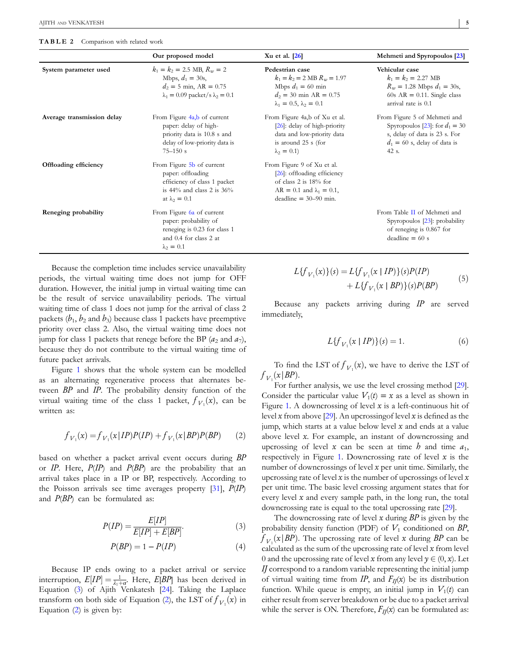#### **TABLE 2** Comparison with related work

|                            | Our proposed model                                                                                                                        | Xu et al. [26]                                                                                                                                         | Mehmeti and Spyropoulos [23]                                                                                                                 |
|----------------------------|-------------------------------------------------------------------------------------------------------------------------------------------|--------------------------------------------------------------------------------------------------------------------------------------------------------|----------------------------------------------------------------------------------------------------------------------------------------------|
| System parameter used      | $k_1 = k_2 = 2.5$ MB, $R_{av} = 2$<br>Mbps, $d_1 = 30s$ ,<br>$d_2 = 5$ min, AR = 0.75<br>$\lambda_1 = 0.09$ packet/s $\lambda_2 = 0.1$    | Pedestrian case<br>$k_1 = k_2 = 2 \text{ MB } R_{av} = 1.97$<br>Mbps $d_1 = 60$ min<br>$d_2 = 30$ min AR = 0.75<br>$\lambda_1 = 0.5, \lambda_2 = 0.1$  | Vehicular case<br>$k_1 = k_2 = 2.27$ MB<br>$R_{\eta\eta} = 1.28$ Mbps $d_1 = 30$ s,<br>60s AR = $0.11$ . Single class<br>arrival rate is 0.1 |
| Average transmission delay | From Figure 4a,b of current<br>paper: delay of high-<br>priority data is 10.8 s and<br>delay of low-priority data is<br>$75 - 150$ s      | From Figure 4a,b of Xu et al.<br>[26]: delay of high-priority<br>data and low-priority data<br>is around 25 s (for<br>$\lambda_2 = 0.1$                | From Figure 5 of Mehmeti and<br>Spyropoulos [23]: for $d_1 = 30$<br>s, delay of data is 23 s. For<br>$d_1 = 60$ s, delay of data is<br>42 s. |
| Offloading efficiency      | From Figure 5b of current<br>paper: offloading<br>efficiency of class 1 packet<br>is $44\%$ and class 2 is $36\%$<br>at $\lambda_2 = 0.1$ | From Figure 9 of Xu et al.<br>$[26]$ : offloading efficiency<br>of class 2 is 18% for<br>$AR = 0.1$ and $\lambda_1 = 0.1$ ,<br>$deadline = 30-90$ min. |                                                                                                                                              |
| Reneging probability       | From Figure 6a of current<br>paper: probability of<br>reneging is 0.23 for class 1<br>and 0.4 for class 2 at<br>$\lambda_2 = 0.1$         |                                                                                                                                                        | From Table II of Mehmeti and<br>Spyropoulos $[23]$ : probability<br>of reneging is 0.867 for<br>$deadline = 60$ s                            |

Because the completion time includes service unavailability periods, the virtual waiting time does not jump for OFF duration. However, the initial jump in virtual waiting time can be the result of service unavailability periods. The virtual waiting time of class 1 does not jump for the arrival of class 2 packets  $(b_1,b_2 \text{ and } b_3)$  because class 1 packets have preemptive priority over class 2. Also, the virtual waiting time does not jump for class 1 packets that renege before the BP ( $a_2$  and  $a_7$ ), because they do not contribute to the virtual waiting time of future packet arrivals.

Figure 1 shows that the whole system can be modelled as an alternating regenerative process that alternates between *BP* and *IP*. The probability density function of the virtual waiting time of the class 1 packet,  $f_{V_1}(x)$ , can be written as:

$$
f_{V_1}(x) = f_{V_1}(x|IP)P(IP) + f_{V_1}(x|BP)P(BP) \tag{2}
$$

based on whether a packet arrival event occurs during *BP* or *IP*. Here, *P*(*IP*) and *P*(*BP*) are the probability that an arrival takes place in a IP or BP, respectively. According to the Poisson arrivals see time averages property [31], *P*(*IP*) and *P*(*BP*) can be formulated as:

$$
P(IP) = \frac{E[IP]}{E[IP] + E[BP]}.\tag{3}
$$

$$
P(BP) = 1 - P/IP)
$$
\n<sup>(4)</sup>

Because IP ends owing to a packet arrival or service interruption,  $E[IP] = \frac{1}{\lambda_1 + a}$ . Here,  $E[BP]$  has been derived in Equation (3) of Ajith Venkatesh [24]. Taking the Laplace transform on both side of Equation (2), the LST of  $f_{V_1}(x)$  in Equation (2) is given by:

$$
L{fV1(x)}(s) = L{fV1(x | IP)}(s)P(IP)+ L{fV1(x | BP)}(s)P(BP)
$$
 (5)

Because any packets arriving during *IP* are served immediately,

$$
L\{f_{V_1}(x \mid IP)\}(s) = 1.
$$
 (6)

To find the LST of  $f_{V_1}(x)$ , we have to derive the LST of  $f_{V_1}(x|BP)$ .

For further analysis, we use the level crossing method [29]. Consider the particular value  $V_1(t) = x$  as a level as shown in Figure 1. A downcrossing of level *x* is a left-continuous hit of level *x* from above [29]. An upcrossingof level *x* is defined as the jump, which starts at a value below level *x* and ends at a value above level *x*. For example, an instant of downcrossing and upcrossing of level  $x$  can be seen at time  $h$  and time  $a_1$ , respectively in Figure 1. Downcrossing rate of level *x* is the number of downcrossings of level *x* per unit time. Similarly, the upcrossing rate of level *x* is the number of upcrossings of level *x* per unit time. The basic level crossing argument states that for every level *x* and every sample path, in the long run, the total downcrossing rate is equal to the total upcrossing rate [29].

The downcrossing rate of level *x* during *BP* is given by the probability density function (PDF) of  $V_1$  conditioned on  $BP$ ,  $f_{V_1}(x|BP)$ . The upcrossing rate of level *x* during *BP* can be calculated as the sum of the upcrossing rate of level *x* from level 0 and the upcrossing rate of level *x* from any level  $y \in (0, x)$ . Let *IJ* correspond to a random variable representing the initial jump of virtual waiting time from *IP*, and  $F_I(x)$  be its distribution function. While queue is empty, an initial jump in  $V_1(t)$  can either result from server breakdown or be due to a packet arrival while the server is ON. Therefore,  $F_{II}(x)$  can be formulated as: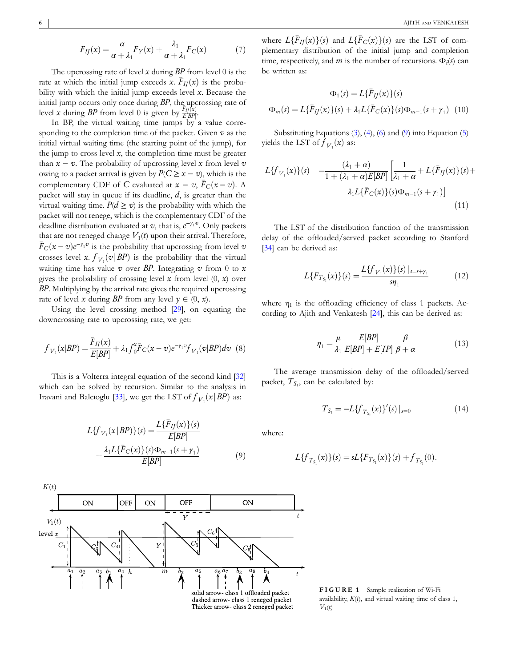$$
F_{IJ}(x) = \frac{\alpha}{\alpha + \lambda_1} F_Y(x) + \frac{\lambda_1}{\alpha + \lambda_1} F_C(x) \tag{7}
$$

The upcrossing rate of level *x* during *BP* from level 0 is the rate at which the initial jump exceeds  $x$ .  $\overline{F}_{IJ}(x)$  is the probability with which the initial jump exceeds level *x*. Because the initial jump occurs only once during *BP*, the upcrossing rate of level *x* during *BP* from level 0 is given by  $\frac{F_H(x)}{F(BP)}$  $E[BP]$ .

In BP, the virtual waiting time jumps by a value corresponding to the completion time of the packet. Given  $v$  as the initial virtual waiting time (the starting point of the jump), for the jump to cross level  $x$ , the completion time must be greater than  $x - v$ . The probability of upcrossing level x from level v owing to a packet arrival is given by  $P(C \geq x - v)$ , which is the complementary CDF of *C* evaluated at  $\overline{x} - \overline{v}$ ,  $\overline{F}_C(\overline{x} - \overline{v})$ . A packet will stay in queue if its deadline, *d*, is greater than the virtual waiting time.  $P(d \ge v)$  is the probability with which the packet will not renege, which is the complementary CDF of the deadline distribution evaluated at *v*, that is, *e* −*γ*1*v* . Only packets that are not reneged change  $V_1(t)$  upon their arrival. Therefore,  $\overline{F}_C(x-v)e^{-\gamma_1 v}$  is the probability that upcrossing from level *v* crosses level *x*.  $f_{V_1}(v|BP)$  is the probability that the virtual waiting time has value  $v$  over  $BP$ . Integrating  $v$  from 0 to  $x$ gives the probability of crossing level *x* from level (0, *x*) over *BP*. Multiplying by the arrival rate gives the required upcrossing rate of level *x* during *BP* from any level  $\gamma \in (0, x)$ .

Using the level crossing method [29], on equating the downcrossing rate to upcrossing rate, we get:

$$
f_{V_1}(x|BP) = \frac{\bar{F}_{IJ}(x)}{E[BP]} + \lambda_1 \int_0^x \bar{F}_C(x-v) e^{-\gamma_1 v} f_{V_1}(v|BP) dv \tag{8}
$$

This is a Volterra integral equation of the second kind [32] which can be solved by recursion. Similar to the analysis in Iravani and Balcıoglu [33], we get the LST of  $f_{V_1}(x|BP)$  as:

$$
L\{f_{V_1}(x|BP)\}(s) = \frac{L\{\bar{F}_{IJ}(x)\}(s)}{E[BP]} + \frac{\lambda_1 L\{\bar{F}_C(x)\}(s)\Phi_{m-1}(s+\gamma_1)}{E[BP]} \tag{9}
$$



where  $L\{\overline{F}_{IJ}(x)\}(s)$  and  $L\{\overline{F}_C(x)\}(s)$  are the LST of complementary distribution of the initial jump and completion time, respectively, and  $m$  is the number of recursions.  $\Phi_i(s)$  can be written as:

$$
\Phi_1(s) = L\{\bar{F}_{IJ}(x)\}(s)
$$
  

$$
\Phi_m(s) = L\{\bar{F}_{IJ}(x)\}(s) + \lambda_1 L\{\bar{F}_C(x)\}(s)\Phi_{m-1}(s+\gamma_1) \quad (10)
$$

Substituting Equations  $(3)$ ,  $(4)$ ,  $(6)$  and  $(9)$  into Equation  $(5)$ yields the LST of  $f_{V_1}(x)$  as:

$$
L\{f_{V_1}(x)\}(s) = \frac{(\lambda_1 + \alpha)}{1 + (\lambda_1 + \alpha)E[BP]} \left[\frac{1}{\lambda_1 + \alpha} + L\{\overline{F}_{IJ}(x)\}(s) + \lambda_1 L\{\overline{F}_C(x)\}(s)\Phi_{m-1}(s+\gamma_1)\right]
$$
\n(11)

The LST of the distribution function of the transmission delay of the offloaded/served packet according to Stanford [34] can be derived as:

$$
L\{F_{T_{S_1}}(x)\}(s) = \frac{L\{f_{V_1}(x)\}(s)|_{s=s+\gamma_1}}{s\eta_1}
$$
(12)

where  $\eta_1$  is the offloading efficiency of class 1 packets. According to Ajith and Venkatesh [24], this can be derived as:

$$
\eta_1 = \frac{\mu}{\lambda_1} \frac{E[BP]}{E[BP] + E[IP]} \frac{\beta}{\beta + \alpha} \tag{13}
$$

The average transmission delay of the offloaded/served packet,  $T_{S_1}$ , can be calculated by:

$$
T_{S_1} = -L\{f_{T_{S_1}}(x)\}'(s)|_{s=0}
$$
\n(14)

where:

$$
L{f_{T_{S_1}}(x)}(s) = sL{F_{T_{S_1}}(x)}(s) + f_{T_{S_1}}(0).
$$

**FIGURE 1** Sample realization of Wi-Fi availability,  $K(t)$ , and virtual waiting time of class 1,  $V_1(t)$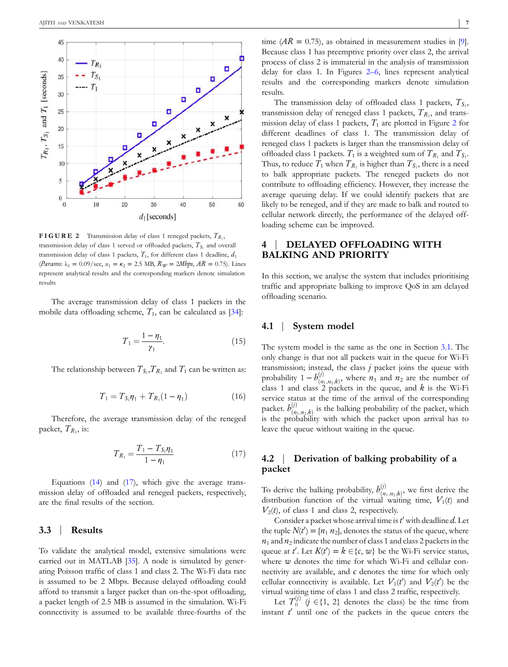

**FIGURE 2** Transmission delay of class 1 reneged packets,  $T_{R_1}$ , transmission delay of class 1 served or offloaded packets,  $T_{S_1}$  and overall transmission delay of class 1 packets,  $T_1$ , for different class 1 deadline,  $d_1$  $(Params: \lambda_1 = 0.09/\text{sec}, \lambda_1 = \kappa_2 = 2.5 \text{ MB}, R_W = 2Mbps, AR = 0.75)$ . Lines represent analytical results and the corresponding markers denote simulation results

The average transmission delay of class 1 packets in the mobile data offloading scheme, *T*<sup>1</sup> , can be calculated as [34]:

$$
T_1 = \frac{1 - \eta_1}{\gamma_1}.\tag{15}
$$

The relationship between  $T_{S_1}, T_{R_1}$  and  $T_1$  can be written as:

$$
T_1 = T_{S_1} \eta_1 + T_{R_1} (1 - \eta_1) \tag{16}
$$

Therefore, the average transmission delay of the reneged packet,  $T_{R_1}$ , is:

$$
T_{R_1} = \frac{T_1 - T_{S_1} \eta_1}{1 - \eta_1} \tag{17}
$$

Equations (14) and (17), which give the average transmission delay of offloaded and reneged packets, respectively, are the final results of the section.

### **3.3** | **Results**

To validate the analytical model, extensive simulations were carried out in MATLAB [35]. A node is simulated by generating Poisson traffic of class 1 and class 2. The Wi-Fi data rate is assumed to be 2 Mbps. Because delayed offloading could afford to transmit a larger packet than on-the-spot offloading, a packet length of 2.5 MB is assumed in the simulation. Wi-Fi connectivity is assumed to be available three-fourths of the

time  $AR = 0.75$ , as obtained in measurement studies in [9]. Because class 1 has preemptive priority over class 2, the arrival process of class 2 is immaterial in the analysis of transmission delay for class 1. In Figures 2–6, lines represent analytical results and the corresponding markers denote simulation results.

The transmission delay of offloaded class 1 packets,  $T_{S_1}$ , transmission delay of reneged class 1 packets,  $T_{R_1}$ , and transmission delay of class 1 packets,  $T_1$  are plotted in Figure 2 for different deadlines of class 1. The transmission delay of reneged class 1 packets is larger than the transmission delay of offloaded class 1 packets.  $T_1$  is a weighted sum of  $T_{R_1}$  and  $T_{S_1}$ . Thus, to reduce  $T_1$  when  $T_{R_1}$  is higher than  $T_{S_1}$ , there is a need to balk appropriate packets. The reneged packets do not contribute to offloading efficiency. However, they increase the average queuing delay. If we could identify packets that are likely to be reneged, and if they are made to balk and routed to cellular network directly, the performance of the delayed offloading scheme can be improved.

# **4** | **DELAYED OFFLOADING WITH BALKING AND PRIORITY**

In this section, we analyse the system that includes prioritising traffic and appropriate balking to improve QoS in am delayed offloading scenario.

# **4.1** | **System model**

The system model is the same as the one in Section 3.1. The only change is that not all packets wait in the queue for Wi-Fi transmission; instead, the class *j* packet joins the queue with probability 1 –  $b_{(n)}^{(j)}$  $\binom{J}{n_1, n_2, k}$ , where  $n_1$  and  $n_2$  are the number of class 1 and class  $2$  packets in the queue, and  $k$  is the Wi-Fi service status at the time of the arrival of the corresponding packet.  $b_{\scriptscriptstyle (n)}^{(j)}$  $\alpha_{n_1,n_2,k}^{(0)}$  is the balking probability of the packet, which is the probability with which the packet upon arrival has to leave the queue without waiting in the queue.

# **4.2** | **Derivation of balking probability of a packet**

To derive the balking probability,  $b_{\mu}^{(j)}$  $\binom{0}{n_1,n_2,k}$ , we first derive the distribution function of the virtual waiting time,  $V_1(t)$  and  $V_2(t)$ , of class 1 and class 2, respectively.

Consider a packet whose arrival time is t' with deadline d. Let the tuple  $N(t') = [n_1 \ n_2]$ , denotes the status of the queue, where *n*<sup>1</sup> and *n*<sup>2</sup> indicate the number of class 1 and class 2 packets in the queue at *t'*. Let  $K(t') = k \in \{c, w\}$  be the Wi-Fi service status, where *w* denotes the time for which Wi-Fi and cellular connectivity are available, and *c* denotes the time for which only cellular connectivity is available. Let  $V_1(t')$  and  $V_2(t')$  be the virtual waiting time of class 1 and class 2 traffic, respectively.

Let  $T_0^{(j)}$   $(j \in \{1, 2\}$  denotes the class) be the time from instant  $t'$  until one of the packets in the queue enters the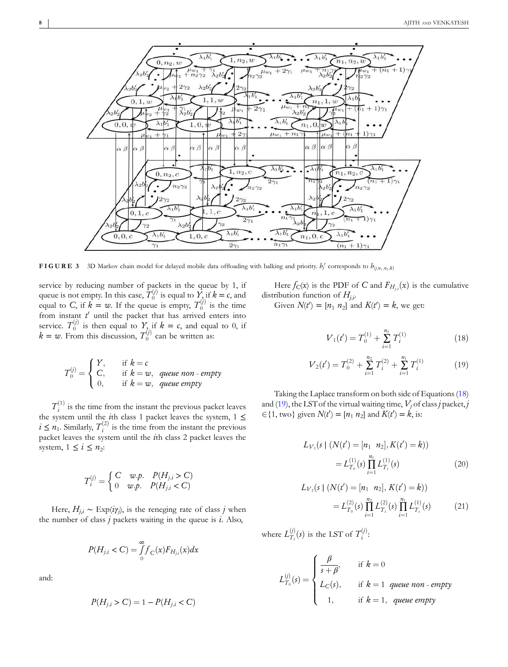

**FIGURE 3** 3D Markov chain model for delayed mobile data offloading with balking and priority. *b<sub>j</sub>* corresponds to  $b_{(j,n_1,n_2,k)}$ 

service by reducing number of packets in the queue by 1, if queue is not empty. In this case,  $T_0^{(j)}$  is equal to  $\overline{Y}_0$  if  $k = c$ , and equal to *C*, if  $\vec{k} = \vec{w}$ . If the queue is empty,  $T_0^{(j)}$  is the time from instant  $t'$  until the packet that has arrived enters into service.  $T_0^{(j)}$  is then equal to  $Y_{j}$  if  $k = c$ , and equal to 0, if  $k = w$ . From this discussion,  $T_0^{(j)}$  can be written as:

$$
T_0^{(j)} = \begin{cases} Y, & \text{if } k = c \\ C, & \text{if } k = w, \text{ queue non-empty} \\ 0, & \text{if } k = w, \text{ queue empty} \end{cases}
$$

 $T_i^{(1)}$  is the time from the instant the previous packet leaves the system until the *i*th class 1 packet leaves the system,  $1 \le$  $i \leq n_1$ . Similarly,  $T_i^{(2)}$  is the time from the instant the previous packet leaves the system until the *i*th class 2 packet leaves the system,  $1 \leq i \leq n_2$ :

$$
T_i^{(j)} = \begin{cases} C & w.p. & P(H_{j,i} > C) \\ 0 & w.p. & P(H_{j,i} < C) \end{cases}
$$

Here,  $H_{j,i} \sim \text{Exp}(i\gamma_j)$ , is the reneging rate of class *j* when the number of class *j* packets waiting in the queue is *i*. Also,

$$
P(H_{j,i} < C) = \int_{0}^{\infty} f_C(x) F_{H_{j,i}}(x) dx
$$

and:

$$
P(H_{j,i} > C) = 1 - P(H_{j,i} < C)
$$

Here  $f_C(x)$  is the PDF of *C* and  $F_{H_{j,i}}(x)$  is the cumulative distribution function of *Hj*,*<sup>i</sup>* .

Given  $N(t') = [n_1 \ n_2]$  and  $K(t') = k$ , we get:

$$
V_1(t') = T_0^{(1)} + \sum_{i=1}^{n_1} T_i^{(1)}
$$
 (18)

$$
V_2(t') = T_0^{(2)} + \sum_{i=1}^{n_2} T_i^{(2)} + \sum_{i=1}^{n_1} T_i^{(1)}
$$
(19)

Taking the Laplace transform on both side of Equations (18) and (19), the LST of the virtual waiting time,  $V_i$  of class *j* packet, *j*  $\mathcal{L}\{1, \text{ two}\}$  given  $N(t') = [n_1 \ n_2]$  and  $K(t') = k$ , is:

$$
L_{V_1}(s \mid (N(t') = [n_1 \ n_2], K(t') = k))
$$
  
=  $L_{T_0}^{(1)}(s) \prod_{i=1}^{n_1} L_{T_i}^{(1)}(s)$  (20)

$$
L_{V_2}(s \mid (N(t') = [n_1 \ n_2], K(t') = k))
$$
  
=  $L_{T_0}^{(2)}(s) \prod_{i=1}^{n_2} L_{T_i}^{(2)}(s) \prod_{i=1}^{n_1} L_{T_i}^{(1)}(s)$  (21)

where  $L_{T}^{(j)}$  $T_i^{(j)}(s)$  is the LST of  $T_i^{(j)}$ :

$$
L_{T_0}^{(j)}(s) = \begin{cases} \frac{\beta}{s+\beta}, & \text{if } k = 0\\ L_C(s), & \text{if } k = 1 \text{ queue non-empty} \\ 1, & \text{if } k = 1, \text{ queue empty} \end{cases}
$$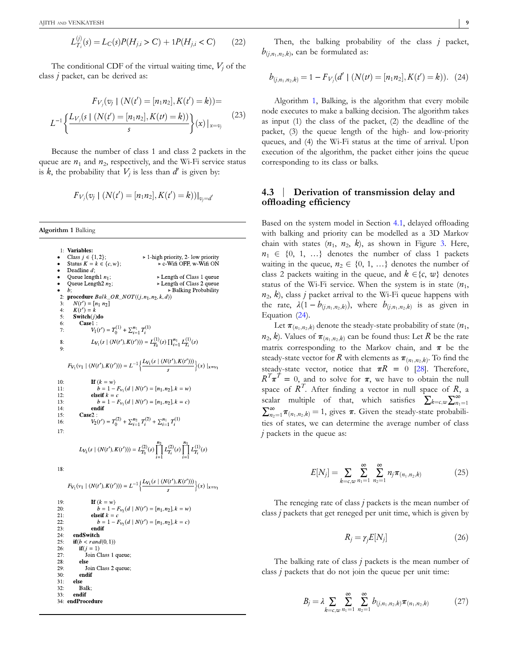AJITH AND VENKATESH

$$
L_{T_i}^{(j)}(s) = L_C(s)P(H_{j,i} > C) + 1P(H_{j,i} < C)
$$
 (22)

The conditional CDF of the virtual waiting time, *V<sup>j</sup>* of the class *j* packet, can be derived as:

$$
F_{V_j}(v_j \mid (N(t') = [n_1 n_2], K(t') = k)) =
$$
  

$$
L^{-1} \left\{ \frac{L_{V_j}(s \mid (N(t') = [n_1 n_2], K(t') = k))}{s} \right\}(x) \mid_{x = v_j}
$$
 (23)

Because the number of class 1 and class 2 packets in the queue are  $n_1$  and  $n_2$ , respectively, and the Wi-Fi service status is *k*, the probability that  $V_j$  is less than  $d'$  is given by:

$$
F_{V_j}(v_j \mid (N(t') = [n_1 n_2], K(t') = k))|_{v_j = d'}
$$

**Algorithm 1** Balking

1: Variables: Class  $j \in \{1, 2\};$ > 1 high priority, 2- low priority Status  $K = k \in \{c, w\};$  $\triangleright$  c Wifi OFF, w Wifi ON Deadline  $d$ : Queue length  $n_1$ ; ► Length of Class 1 queue Queue Length2  $n_2$ : > Length of Class 2 queue  $\bullet$  $h<sup>1</sup>$ ► Balking Probability procedure  $Balk\_OR\_NOT((j, n_1, n_2, k, d))$  $2:$  $\mathcal{R}$  $N(t') = [n_1 n_2]$  $4:$  $K(t') = k$ Switch $(j)$ do  $\sim$  $6<sup>1</sup>$  $Case 1$  $V_1(t') = T_0^{(1)} + \sum_{i=1}^{n_1} T_i^{(1)}$  $7:$  $L_{V_1}(s \mid (N(t'), K(t'))) = L_{T_0}^{(1)}(s) \prod_{i=1}^{n_1} L_{T_i}^{(1)}(s)$  $8$  $\overline{Q}$  $F_{V_1}(v_1 \mid (N(t'), K(t'))) = L^{-1} \left\{ \frac{L_{V_1}(s \mid (N(t'), K(t')))}{s} \right\}(x) \mid_{x=v_1}$ **If**  $(k = w)$ <br>  $b = 1 - F_{v_1}(d | N(t') = [n_1, n_2], k = w)$ <br> **elseif**  $k = c$  $10<sub>i</sub>$  $11:$ elseif  $k = c$  $12:$ elseif  $k = c$ <br>  $b = 1 - F_{v_1}(d | N(t') = [n_1, n_2], k = c)$ <br>
endif  $13:$  $14:$ **Case2**:<br> $V_2(t') = T_0^{(2)} + \sum_{i=1}^{n_2} T_i^{(2)} + \sum_{i=1}^{n_1} T_i^{(1)}$  $15<sub>i</sub>$  $16<sub>i</sub>$  $17:$  $L_{V_2}(s\mid (N(t'),K(t'))) = L_{T_0}^{(2)}(s) \prod_{i=1}^{n_2} L_{T_i}^{(2)}(s) \prod_{i=1}^{n_1} L_{T_i}^{(1)}(s)$  $18:$  $F_{V_1}(v_1 \mid (N(t'), K(t'))) = L^{-1} \left\{ \frac{L_{V_1}(s \mid (N(t'), K(t')))}{s} \right\}(x) \mid_{x=v}$  $19:$ If  $(k = w)$  $b = 1 - F_{v_2}(d | N(t') = [n_1, n_2], k = w)$  $20:$ 

 $21:$ elseif  $k = c$  $b = 1 - F_{v_2}(d | N(t') = [n_1, n_2], k = c)$  $22:$ endif  $23$  $24:$ endSwitch  $25:$  $if(b < rand(0, 1))$ 26:  $if(j = 1)$  $27:$ Join Class 1 queue; 28 else Join Class 2 queue;  $29$  $30<sub>2</sub>$ endif  $31:$ else  $32:$ Balk:  $33:$ endif 34 endProcedure

Then, the balking probability of the class *j* packet,  $b_{(j,n_1,n_2,k)}$ , can be formulated as:

$$
b_{(j,n_1,n_2,k)} = 1 - F_{V_j}(d' \mid (N(t)) = [n_1 n_2], K(t') = k)). \tag{24}
$$

Algorithm 1, Balking, is the algorithm that every mobile node executes to make a balking decision. The algorithm takes as input (1) the class of the packet, (2) the deadline of the packet, (3) the queue length of the high- and low-priority queues, and (4) the Wi-Fi status at the time of arrival. Upon execution of the algorithm, the packet either joins the queue corresponding to its class or balks.

# **4.3** | **Derivation of transmission delay and offloading efficiency**

Based on the system model in Section 4.1, delayed offloading with balking and priority can be modelled as a 3D Markov chain with states  $(n_1, n_2, k)$ , as shown in Figure 3. Here,  $n_1 \in \{0, 1, ...\}$  denotes the number of class 1 packets waiting in the queue,  $n_2 \in \{0, 1, ...\}$  denotes the number of class 2 packets waiting in the queue, and  $k \in \{c, w\}$  denotes status of the Wi-Fi service. When the system is in state  $(n_1,$ *n*2 , *k*), class *j* packet arrival to the Wi-Fi queue happens with the rate,  $\lambda(1 - b_{(j,n_1,n_2,k)})$ , where  $b_{(j,n_1,n_2,k)}$  is as given in Equation (24).

Let  $\pi_{(n_1,n_2,k)}$  denote the steady-state probability of state  $(n_1,$ *n*<sub>2</sub>, *k*). Values of  $\pi_{(n_1,n_2,k)}$  can be found thus: Let *R* be the rate matrix corresponding to the Markov chain, and *π* be the steady-state vector for *R* with elements as  $\pi_{(n_1,n_2,k)}$ . To find the steady-state vector, notice that  $\pi R = 0$  [28]. Therefore,  $R^T \pi^T = 0$ , and to solve for  $\pi$ , we have to obtain the null space of  $R^T$ . After finding a vector in null space of  $R$ , a scalar multiple of that, which satisfies  $\sum_{k=c,w}\sum_{n_1=1}^{\infty}$  $\sum_{n_2=1}^{\infty} \pi_{(n_1,n_2,k)} = 1$ , gives  $\pi$ . Given the steady-state probabilities of states, we can determine the average number of class *j* packets in the queue as:

$$
E[N_j] = \sum_{k=c,w} \sum_{n_1=1}^{\infty} \sum_{n_2=1}^{\infty} n_j \pi_{(n_1,n_2,k)}
$$
(25)

The reneging rate of class *j* packets is the mean number of class *j* packets that get reneged per unit time, which is given by

$$
R_j = \gamma_j E[N_j] \tag{26}
$$

The balking rate of class *j* packets is the mean number of class *j* packets that do not join the queue per unit time:

$$
B_j = \lambda \sum_{k=c, w} \sum_{n_1=1}^{\infty} \sum_{n_2=1}^{\infty} b_{(j, n_1, n_2, k)} \pi_{(n_1, n_2, k)}
$$
(27)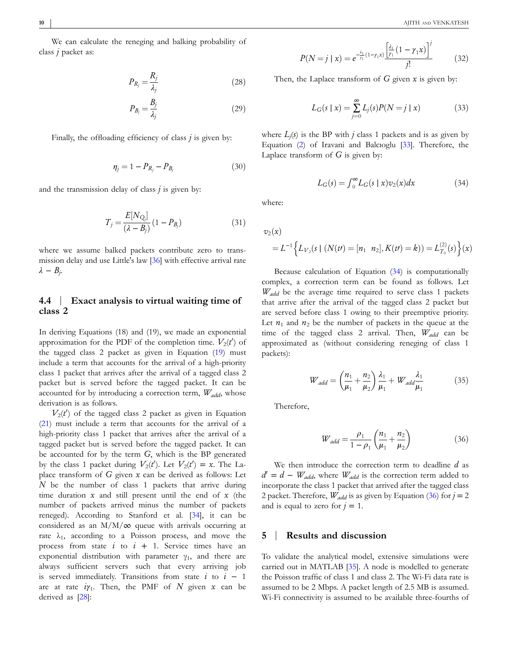$$
P_{R_j} = \frac{R_j}{\lambda_j} \tag{28}
$$

$$
P_{B_j} = \frac{B_j}{\lambda_j} \tag{29}
$$

Finally, the offloading efficiency of class *j* is given by:

$$
\eta_j = 1 - P_{R_j} - P_{B_j} \tag{30}
$$

and the transmission delay of class *j* is given by:

$$
T_{j} = \frac{E[N_{Q_{j}}]}{(\lambda - B_{j})} (1 - P_{B_{j}})
$$
\n(31)

where we assume balked packets contribute zero to transmission delay and use Little's law [36] with effective arrival rate *λ* − *B<sup>j</sup>* .

### **4.4** | **Exact analysis to virtual waiting time of class 2**

In deriving Equations (18) and (19), we made an exponential approximation for the PDF of the completion time.  $V_2(t')$  of the tagged class 2 packet as given in Equation (19) must include a term that accounts for the arrival of a high-priority class 1 packet that arrives after the arrival of a tagged class 2 packet but is served before the tagged packet. It can be accounted for by introducing a correction term, *Wadd*, whose derivation is as follows.

 $V_2(t')$  of the tagged class 2 packet as given in Equation (21) must include a term that accounts for the arrival of a high-priority class 1 packet that arrives after the arrival of a tagged packet but is served before the tagged packet. It can be accounted for by the term *G*, which is the BP generated by the class 1 packet during  $V_2(t')$ . Let  $V_2(t') = x$ . The Laplace transform of *G* given *x* can be derived as follows: Let *N* be the number of class 1 packets that arrive during time duration *x* and still present until the end of *x* (the number of packets arrived minus the number of packets reneged). According to Stanford et al. [34], it can be considered as an  $M/M/\infty$  queue with arrivals occurring at rate  $\lambda_1$ , according to a Poisson process, and move the process from state  $i$  to  $i + 1$ . Service times have an exponential distribution with parameter  $\gamma_1$ , and there are always sufficient servers such that every arriving job is served immediately. Transitions from state  $i$  to  $i - 1$ are at rate *iγ*<sup>1</sup> . Then, the PMF of *N* given *x* can be derived as [28]:

$$
P(N = j \mid x) = e^{\frac{\lambda_1}{\gamma_1}(1 - \gamma_1 x)} \frac{\left[\frac{\lambda_1}{\gamma_1}(1 - \gamma_1 x)\right]^j}{j!}
$$
 (32)

Then, the Laplace transform of *G* given *x* is given by:

$$
L_G(s \mid x) = \sum_{j=0}^{\infty} L_j(s) P(N = j \mid x)
$$
 (33)

where  $L_j(s)$  is the BP with *j* class 1 packets and is as given by Equation (2) of Iravani and Balcıoglu [33]. Therefore, the Laplace transform of *G* is given by:

$$
L_G(s) = \int_0^\infty L_G(s \mid x) v_2(x) dx \tag{34}
$$

where:

$$
v_2(x) = L^{-1}\Big\{L_{V_2}(s \mid (N(t)) = [n_1 \ n_2], K(t)) = k)\Big\} = L_{T_0}^{(2)}(s)\Big\}(x)
$$

Because calculation of Equation (34) is computationally complex, a correction term can be found as follows. Let *Wadd* be the average time required to serve class 1 packets that arrive after the arrival of the tagged class 2 packet but are served before class 1 owing to their preemptive priority. Let  $n_1$  and  $n_2$  be the number of packets in the queue at the time of the tagged class 2 arrival. Then, *Wadd* can be approximated as (without considering reneging of class 1 packets):

$$
W_{add} = \left(\frac{n_1}{\mu_1} + \frac{n_2}{\mu_2}\right) \frac{\lambda_1}{\mu_1} + W_{add} \frac{\lambda_1}{\mu_1}
$$
 (35)

Therefore,

$$
W_{add} = \frac{\rho_1}{1 - \rho_1} \left( \frac{n_1}{\mu_1} + \frac{n_2}{\mu_2} \right)
$$
 (36)

We then introduce the correction term to deadline *d* as  $d' = d - W_{add}$ , where  $W_{add}$  is the correction term added to incorporate the class 1 packet that arrived after the tagged class 2 packet. Therefore,  $W_{add}$  is as given by Equation (36) for  $j = 2$ and is equal to zero for  $j = 1$ .

#### **5** | **Results and discussion**

To validate the analytical model, extensive simulations were carried out in MATLAB [35]. A node is modelled to generate the Poisson traffic of class 1 and class 2. The Wi-Fi data rate is assumed to be 2 Mbps. A packet length of 2.5 MB is assumed. Wi-Fi connectivity is assumed to be available three-fourths of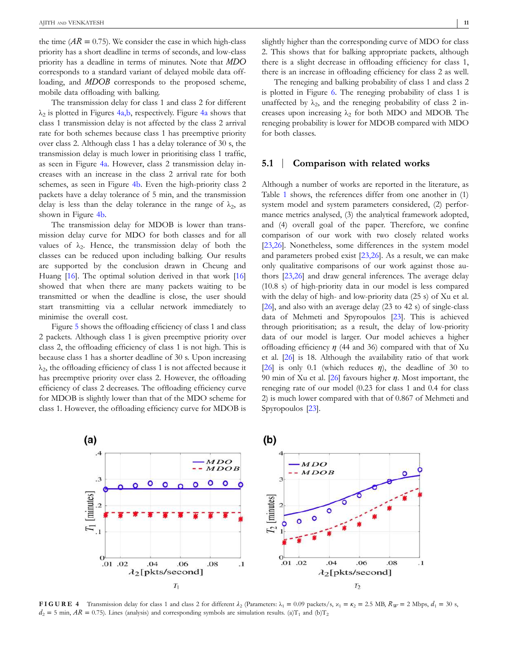the time  $AR = 0.75$ ). We consider the case in which high-class priority has a short deadline in terms of seconds, and low-class priority has a deadline in terms of minutes. Note that *MDO* corresponds to a standard variant of delayed mobile data offloading, and *MDOB* corresponds to the proposed scheme, mobile data offloading with balking.

The transmission delay for class 1 and class 2 for different  $\lambda_2$  is plotted in Figures 4a,b, respectively. Figure 4a shows that class 1 transmission delay is not affected by the class 2 arrival rate for both schemes because class 1 has preemptive priority over class 2. Although class 1 has a delay tolerance of 30 s, the transmission delay is much lower in prioritising class 1 traffic, as seen in Figure 4a. However, class 2 transmission delay increases with an increase in the class 2 arrival rate for both schemes, as seen in Figure 4b. Even the high-priority class 2 packets have a delay tolerance of 5 min, and the transmission delay is less than the delay tolerance in the range of  $\lambda_2$ , as shown in Figure 4b.

The transmission delay for MDOB is lower than transmission delay curve for MDO for both classes and for all values of  $\lambda_2$ . Hence, the transmission delay of both the classes can be reduced upon including balking. Our results are supported by the conclusion drawn in Cheung and Huang [16]. The optimal solution derived in that work [16] showed that when there are many packets waiting to be transmitted or when the deadline is close, the user should start transmitting via a cellular network immediately to minimise the overall cost.

Figure 5 shows the offloading efficiency of class 1 and class 2 packets. Although class 1 is given preemptive priority over class 2, the offloading efficiency of class 1 is not high. This is because class 1 has a shorter deadline of 30 s. Upon increasing  $\lambda_2$ , the offloading efficiency of class 1 is not affected because it has preemptive priority over class 2. However, the offloading efficiency of class 2 decreases. The offloading efficiency curve for MDOB is slightly lower than that of the MDO scheme for class 1. However, the offloading efficiency curve for MDOB is

slightly higher than the corresponding curve of MDO for class 2. This shows that for balking appropriate packets, although there is a slight decrease in offloading efficiency for class 1, there is an increase in offloading efficiency for class 2 as well.

The reneging and balking probability of class 1 and class 2 is plotted in Figure 6. The reneging probability of class 1 is unaffected by  $\lambda_2$ , and the reneging probability of class 2 increases upon increasing  $\lambda_2$  for both MDO and MDOB. The reneging probability is lower for MDOB compared with MDO for both classes.

#### **5.1** | **Comparison with related works**

Although a number of works are reported in the literature, as Table 1 shows, the references differ from one another in (1) system model and system parameters considered, (2) performance metrics analysed, (3) the analytical framework adopted, and (4) overall goal of the paper. Therefore, we confine comparison of our work with two closely related works [23,26]. Nonetheless, some differences in the system model and parameters probed exist [23,26]. As a result, we can make only qualitative comparisons of our work against those authors [23,26] and draw general inferences. The average delay (10.8 s) of high-priority data in our model is less compared with the delay of high- and low-priority data (25 s) of Xu et al. [26], and also with an average delay (23 to 42 s) of single-class data of Mehmeti and Spyropoulos [23]. This is achieved through prioritisation; as a result, the delay of low-priority data of our model is larger. Our model achieves a higher offloading efficiency *η* (44 and 36) compared with that of Xu et al. [26] is 18. Although the availability ratio of that work [26] is only 0.1 (which reduces  $\eta$ ), the deadline of 30 to 90 min of Xu et al. [26] favours higher *η*. Most important, the reneging rate of our model (0.23 for class 1 and 0.4 for class 2) is much lower compared with that of 0.867 of Mehmeti and Spyropoulos [23].



**FIGURE 4** Transmission delay for class 1 and class 2 for different  $\lambda_2$  (Parameters:  $\lambda_1 = 0.09$  packets/s,  $x_1 = \kappa_2 = 2.5$  MB,  $R_W = 2$  Mbps,  $d_1 = 30$  s,  $d_2 = 5$  min,  $AR = 0.75$ ). Lines (analysis) and corresponding symbols are simulation results. (a)T<sub>1</sub> and (b)T<sub>2</sub>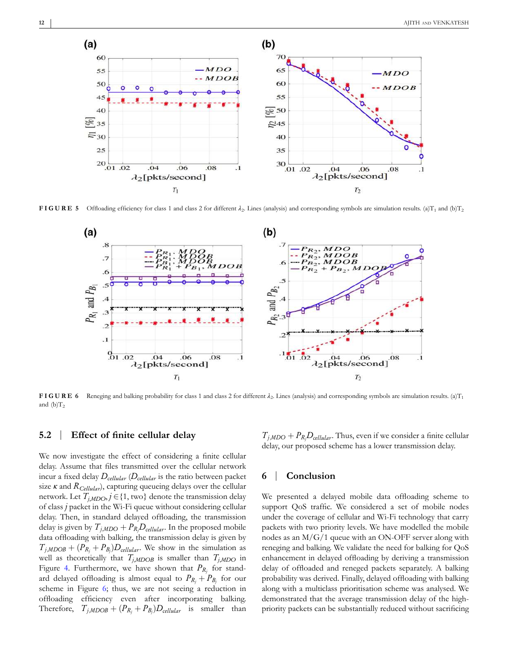

**FIGURE 5** Offloading efficiency for class 1 and class 2 for different  $\lambda_2$ . Lines (analysis) and corresponding symbols are simulation results. (a)T<sub>1</sub> and (b)T<sub>2</sub>



**FIGURE 6** Reneging and balking probability for class 1 and class 2 for different  $\lambda_2$ . Lines (analysis) and corresponding symbols are simulation results. (a)T<sub>1</sub> and  $(b)T_2$ 

# **5.2** | **Effect of finite cellular delay**

We now investigate the effect of considering a finite cellular delay. Assume that files transmitted over the cellular network incur a fixed delay *Dcellular* (*Dcellular* is the ratio between packet size *κ* and *RCellular*), capturing queueing delays over the cellular network. Let  $T_{\text{iMDO}}$ ,  $j \in \{1, \text{two}\}$  denote the transmission delay of class *j* packet in the Wi-Fi queue without considering cellular delay. Then, in standard delayed offloading, the transmission delay is given by  $T_{j, MDO} + P_{R_j}D_{cellular}$ . In the proposed mobile data offloading with balking, the transmission delay is given by  $T_{j, MDOB} + (P_{R_j} + P_{B_j})D_{cellular}$ . We show in the simulation as well as theoretically that  $T_{j, MDOB}$  is smaller than  $T_{j, MDO}$  in Figure 4. Furthermore, we have shown that  $P_{R_j}$  for standard delayed offloading is almost equal to  $P_{R_j} + P_{B_j}$  for our scheme in Figure 6; thus, we are not seeing a reduction in offloading efficiency even after incorporating balking. Therefore,  $T_{j, MDOB} + (P_{R_j} + P_{B_j})D_{cellular}$  is smaller than

 $T_{j, MDO} + P_{R_j}D_{cellular}$ . Thus, even if we consider a finite cellular delay, our proposed scheme has a lower transmission delay.

# **6** | **Conclusion**

We presented a delayed mobile data offloading scheme to support QoS traffic. We considered a set of mobile nodes under the coverage of cellular and Wi-Fi technology that carry packets with two priority levels. We have modelled the mobile nodes as an M/G/1 queue with an ON-OFF server along with reneging and balking. We validate the need for balking for QoS enhancement in delayed offloading by deriving a transmission delay of offloaded and reneged packets separately. A balking probability was derived. Finally, delayed offloading with balking along with a multiclass prioritisation scheme was analysed. We demonstrated that the average transmission delay of the highpriority packets can be substantially reduced without sacrificing